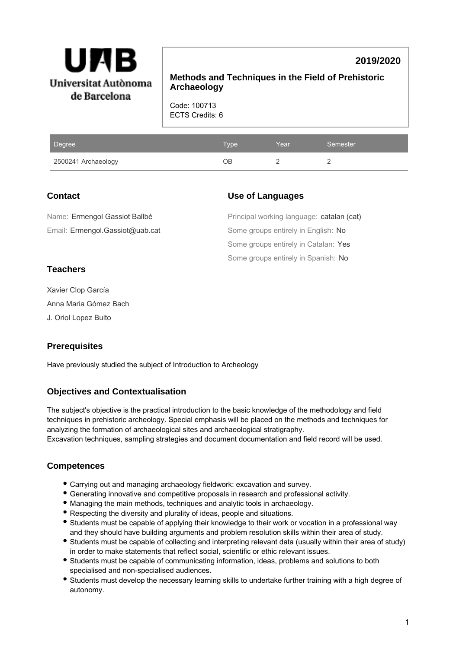

# **2019/2020**

**Methods and Techniques in the Field of Prehistoric Archaeology**

Code: 100713 ECTS Credits: 6

| Degree              | <b>Type</b> | Year | Semester |
|---------------------|-------------|------|----------|
| 2500241 Archaeology | ЭB          |      |          |

## **Contact**

Email: Ermengol.Gassiot@uab.cat Name: Ermengol Gassiot Ballbé

# **Use of Languages**

Some groups entirely in Spanish: No Some groups entirely in Catalan: Yes Some groups entirely in English: No Principal working language: catalan (cat)

# **Teachers**

Xavier Clop García Anna Maria Gómez Bach J. Oriol Lopez Bulto

# **Prerequisites**

Have previously studied the subject of Introduction to Archeology

# **Objectives and Contextualisation**

The subject's objective is the practical introduction to the basic knowledge of the methodology and field techniques in prehistoric archeology. Special emphasis will be placed on the methods and techniques for analyzing the formation of archaeological sites and archaeological stratigraphy. Excavation techniques, sampling strategies and document documentation and field record will be used.

# **Competences**

- Carrying out and managing archaeology fieldwork: excavation and survey.
- Generating innovative and competitive proposals in research and professional activity.
- Managing the main methods, techniques and analytic tools in archaeology.
- Respecting the diversity and plurality of ideas, people and situations.
- Students must be capable of applying their knowledge to their work or vocation in a professional way and they should have building arguments and problem resolution skills within their area of study.
- Students must be capable of collecting and interpreting relevant data (usually within their area of study) in order to make statements that reflect social, scientific or ethic relevant issues.
- Students must be capable of communicating information, ideas, problems and solutions to both specialised and non-specialised audiences.
- Students must develop the necessary learning skills to undertake further training with a high degree of autonomy.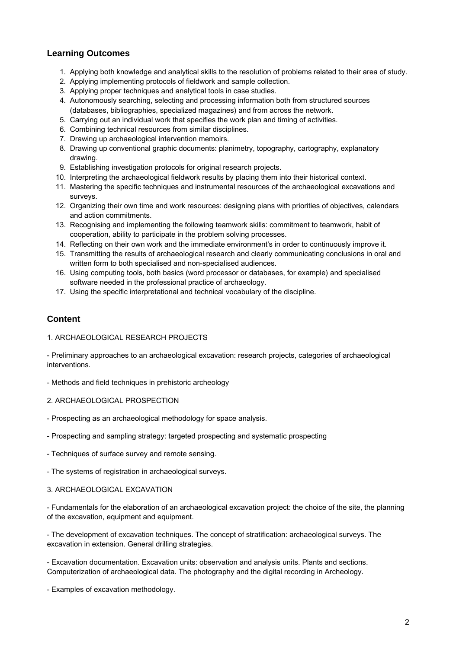## **Learning Outcomes**

- 1. Applying both knowledge and analytical skills to the resolution of problems related to their area of study.
- 2. Applying implementing protocols of fieldwork and sample collection.
- 3. Applying proper techniques and analytical tools in case studies.
- 4. Autonomously searching, selecting and processing information both from structured sources (databases, bibliographies, specialized magazines) and from across the network.
- 5. Carrying out an individual work that specifies the work plan and timing of activities.
- 6. Combining technical resources from similar disciplines.
- 7. Drawing up archaeological intervention memoirs.
- 8. Drawing up conventional graphic documents: planimetry, topography, cartography, explanatory drawing.
- 9. Establishing investigation protocols for original research projects.
- 10. Interpreting the archaeological fieldwork results by placing them into their historical context.
- 11. Mastering the specific techniques and instrumental resources of the archaeological excavations and surveys.
- 12. Organizing their own time and work resources: designing plans with priorities of objectives, calendars and action commitments.
- 13. Recognising and implementing the following teamwork skills: commitment to teamwork, habit of cooperation, ability to participate in the problem solving processes.
- 14. Reflecting on their own work and the immediate environment's in order to continuously improve it.
- 15. Transmitting the results of archaeological research and clearly communicating conclusions in oral and written form to both specialised and non-specialised audiences.
- 16. Using computing tools, both basics (word processor or databases, for example) and specialised software needed in the professional practice of archaeology.
- 17. Using the specific interpretational and technical vocabulary of the discipline.

## **Content**

### 1. ARCHAEOLOGICAL RESEARCH PROJECTS

- Preliminary approaches to an archaeological excavation: research projects, categories of archaeological interventions.

- Methods and field techniques in prehistoric archeology

### 2. ARCHAEOLOGICAL PROSPECTION

- Prospecting as an archaeological methodology for space analysis.
- Prospecting and sampling strategy: targeted prospecting and systematic prospecting
- Techniques of surface survey and remote sensing.
- The systems of registration in archaeological surveys.

#### 3. ARCHAEOLOGICAL EXCAVATION

- Fundamentals for the elaboration of an archaeological excavation project: the choice of the site, the planning of the excavation, equipment and equipment.

- The development of excavation techniques. The concept of stratification: archaeological surveys. The excavation in extension. General drilling strategies.

- Excavation documentation. Excavation units: observation and analysis units. Plants and sections. Computerization of archaeological data. The photography and the digital recording in Archeology.

- Examples of excavation methodology.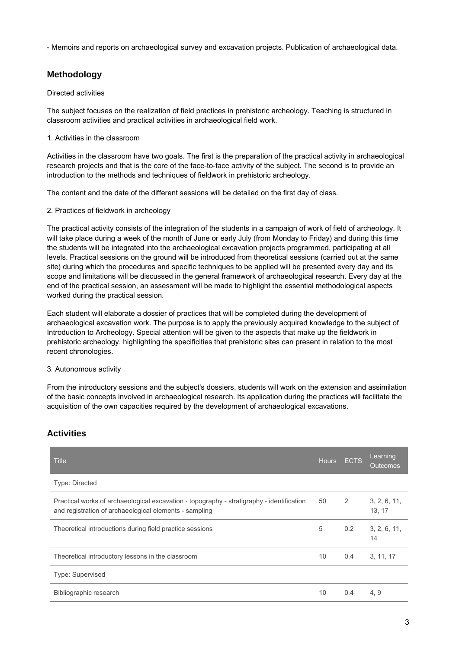- Memoirs and reports on archaeological survey and excavation projects. Publication of archaeological data.

## **Methodology**

### Directed activities

The subject focuses on the realization of field practices in prehistoric archeology. Teaching is structured in classroom activities and practical activities in archaeological field work.

### 1. Activities in the classroom

Activities in the classroom have two goals. The first is the preparation of the practical activity in archaeological research projects and that is the core of the face-to-face activity of the subject. The second is to provide an introduction to the methods and techniques of fieldwork in prehistoric archeology.

The content and the date of the different sessions will be detailed on the first day of class.

### 2. Practices of fieldwork in archeology

The practical activity consists of the integration of the students in a campaign of work of field of archeology. It will take place during a week of the month of June or early July (from Monday to Friday) and during this time the students will be integrated into the archaeological excavation projects programmed, participating at all levels. Practical sessions on the ground will be introduced from theoretical sessions (carried out at the same site) during which the procedures and specific techniques to be applied will be presented every day and its scope and limitations will be discussed in the general framework of archaeological research. Every day at the end of the practical session, an assessment will be made to highlight the essential methodological aspects worked during the practical session.

Each student will elaborate a dossier of practices that will be completed during the development of archaeological excavation work. The purpose is to apply the previously acquired knowledge to the subject of Introduction to Archeology. Special attention will be given to the aspects that make up the fieldwork in prehistoric archeology, highlighting the specificities that prehistoric sites can present in relation to the most recent chronologies.

### 3. Autonomous activity

From the introductory sessions and the subject's dossiers, students will work on the extension and assimilation of the basic concepts involved in archaeological research. Its application during the practices will facilitate the acquisition of the own capacities required by the development of archaeological excavations.

| <b>Title</b>                                                                                                                                        | <b>Hours</b> | <b>ECTS</b>   | Learning<br><b>Outcomes</b> |
|-----------------------------------------------------------------------------------------------------------------------------------------------------|--------------|---------------|-----------------------------|
| <b>Type: Directed</b>                                                                                                                               |              |               |                             |
| Practical works of archaeological excavation - topography - stratigraphy - identification<br>and registration of archaeological elements - sampling | 50           | 2             | 3, 2, 6, 11,<br>13, 17      |
| Theoretical introductions during field practice sessions                                                                                            | 5            | $0.2^{\circ}$ | 3, 2, 6, 11,<br>14          |
| Theoretical introductory lessons in the classroom                                                                                                   | 10           | 0.4           | 3, 11, 17                   |
| <b>Type: Supervised</b>                                                                                                                             |              |               |                             |
| Bibliographic research                                                                                                                              | 10           | 0.4           | 4, 9                        |

## **Activities**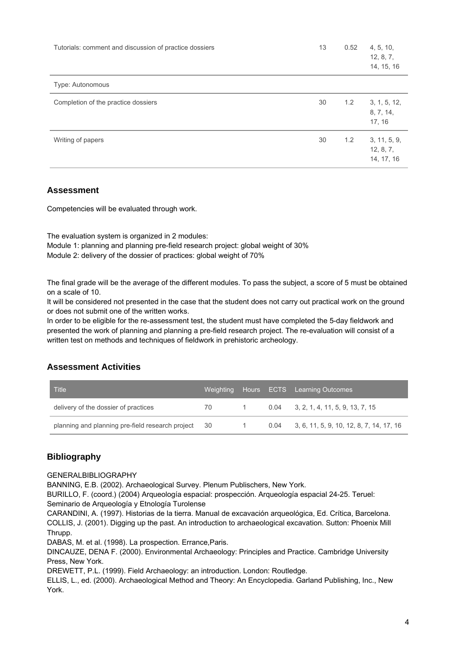| Tutorials: comment and discussion of practice dossiers | 13 | 0.52 | 4, 5, 10,<br>12, 8, 7,<br>14, 15, 16    |
|--------------------------------------------------------|----|------|-----------------------------------------|
| Type: Autonomous                                       |    |      |                                         |
| Completion of the practice dossiers                    | 30 | 1.2  | 3, 1, 5, 12,<br>8, 7, 14,<br>17, 16     |
| Writing of papers                                      | 30 | 1.2  | 3, 11, 5, 9,<br>12, 8, 7,<br>14, 17, 16 |

## **Assessment**

Competencies will be evaluated through work.

The evaluation system is organized in 2 modules: Module 1: planning and planning pre-field research project: global weight of 30% Module 2: delivery of the dossier of practices: global weight of 70%

The final grade will be the average of the different modules. To pass the subject, a score of 5 must be obtained on a scale of 10.

It will be considered not presented in the case that the student does not carry out practical work on the ground or does not submit one of the written works.

In order to be eligible for the re-assessment test, the student must have completed the 5-day fieldwork and presented the work of planning and planning a pre-field research project. The re-evaluation will consist of a written test on methods and techniques of fieldwork in prehistoric archeology.

# **Assessment Activities**

| <b>Title</b>                                     | Weighting |          | Hours ECTS Learning Outcomes                    |
|--------------------------------------------------|-----------|----------|-------------------------------------------------|
| delivery of the dossier of practices             | 70        | $\sim$ 1 | $0.04$ 3, 2, 1, 4, 11, 5, 9, 13, 7, 15          |
| planning and planning pre-field research project | - 30      |          | $0.04$ 3, 6, 11, 5, 9, 10, 12, 8, 7, 14, 17, 16 |

# **Bibliography**

GENERALBIBLIOGRAPHY

BANNING, E.B. (2002). Archaeological Survey. Plenum Publischers, New York.

BURILLO, F. (coord.) (2004) Arqueología espacial: prospección. Arqueología espacial 24-25. Teruel: Seminario de Arqueología y Etnología Turolense

CARANDINI, A. (1997). Historias de la tierra. Manual de excavación arqueológica, Ed. Crítica, Barcelona. COLLIS, J. (2001). Digging up the past. An introduction to archaeological excavation. Sutton: Phoenix Mill Thrupp.

DABAS, M. et al. (1998). La prospection. Errance,Paris.

DINCAUZE, DENA F. (2000). Environmental Archaeology: Principles and Practice. Cambridge University Press, New York.

DREWETT, P.L. (1999). Field Archaeology: an introduction. London: Routledge.

ELLIS, L., ed. (2000). Archaeological Method and Theory: An Encyclopedia. Garland Publishing, Inc., New York.